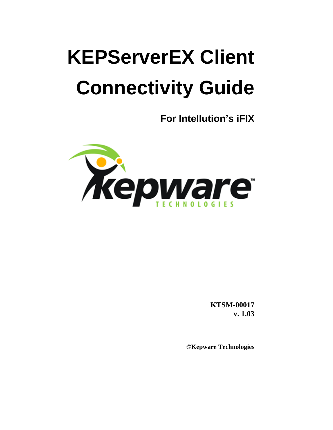# **KEPServerEX Client Connectivity Guide**

**For Intellution's iFIX** 



**KTSM-00017 v. 1.03**

**©Kepware Technologies**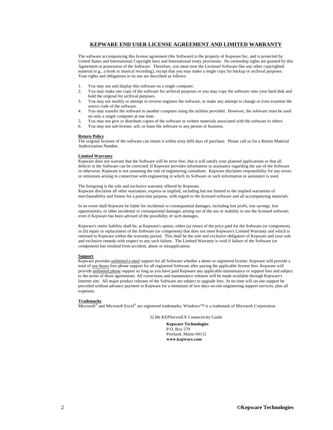### **KEPWARE END USER LICENSE AGREEMENT AND LIMITED WARRANTY**

The software accompanying this license agreement (the Software) is the property of Kepware Inc, and is protected by United States and International Copyright laws and International treaty provisions. No ownership rights are granted by this Agreement or possession of the Software. Therefore, you must treat the Licensed Software like any other copyrighted material (e.g., a book or musical recording), except that you may make a single copy for backup or archival purposes. Your rights and obligations in its use are described as follows:

- 1. You may use and display this software on a single computer.
- 2. You may make one copy of the software for archival purposes or you may copy the software onto your hard disk and hold the original for archival purposes.
- 3. You may not modify or attempt to reverse engineer the software, or make any attempt to change or even examine the source code of the software.
- 4. You may transfer the software to another computer using the utilities provided. However, the software must be used on only a single computer at one time.
- 5. You may not give or distribute copies of the software or written materials associated with the software to others.
- 6. You may not sub-license, sell, or lease the software to any person or business.

#### **Return Policy**

The original licensee of the software can return it within sixty (60) days of purchase. Please call us for a Return Material Authorization Number.

### **Limited Warranty**

Kepware does not warrant that the Software will be error free, that it will satisfy your planned applications or that all defects in the Software can be corrected. If Kepware provides information or assistance regarding the use of the Software or otherwise, Kepware is not assuming the role of engineering consultant. Kepware disclaims responsibility for any errors or omissions arising in connection with engineering in which its Software or such information or assistance is used.

The foregoing is the sole and exclusive warranty offered by Kepware. Kepware disclaims all other warranties, express or implied, including but not limited to the implied warranties of merchantability and fitness for a particular purpose, with regard to the licensed software and all accompanying materials.

In no event shall Kepware be liable for incidental or consequential damages, including lost profit, lost savings, lost opportunities, or other incidental or consequential damages arising out of the use or inability to use the licensed software, even if Kepware has been advised of the possibility of such damages.

Kepware's entire liability shall be, at Kepware's option, either (a) return of the price paid for the Software (or component), or (b) repair or replacement of the Software (or component) that does not meet Kepware's Limited Warranty and which is returned to Kepware within the warranty period. This shall be the sole and exclusive obligation of Kepware and your sole and exclusive remedy with respect to any such failure. The Limited Warranty is void if failure of the Software (or component) has resulted from accident, abuse or misapplication.

#### **Support**

Kepware provides *unlimited e-mail* support for all Software whether a demo or registered license. Kepware will provide a total of *two hours* free phone support for all registered Software after paying the applicable license fees. Kepware will provide *unlimited phone* support so long as you have paid Kepware any applicable maintenance or support fees and subject to the terms of those agreements. All corrections and maintenance releases will be made available through Kepware's Internet site. All major product releases of the Software are subject to upgrade fees. At no time will on-site support be provided without advance payment to Kepware for a minimum of two days on-site engineering support services, plus all expenses.

#### **Trademarks**

Microsoft® and Microsoft Excel® are registered trademarks, Windows™ is a trademark of Microsoft Corporation.

32 Bit KEPServerEX Connectivity Guide

**Kepware Technologies**  P.O. Box 579 Portland, Maine 04112 **www.kepware.com**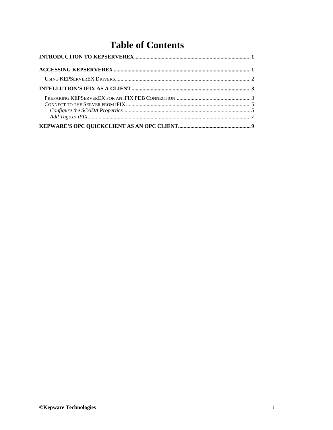## **Table of Contents**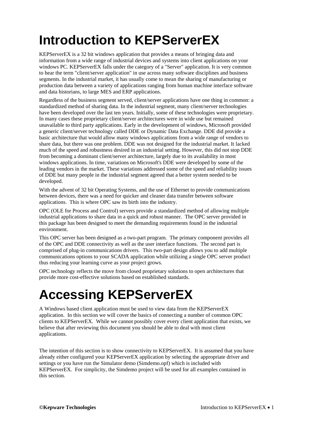## <span id="page-4-0"></span>**Introduction to KEPServerEX**

KEPServerEX is a 32 bit windows application that provides a means of bringing data and information from a wide range of industrial devices and systems into client applications on your windows PC. KEPServerEX falls under the category of a "Server" application. It is very common to hear the term "client/server application" in use across many software disciplines and business segments. In the industrial market, it has usually come to mean the sharing of manufacturing or production data between a variety of applications ranging from human machine interface software and data historians, to large MES and ERP applications.

Regardless of the business segment served, client/server applications have one thing in common: a standardized method of sharing data. In the industrial segment, many client/server technologies have been developed over the last ten years. Initially, some of these technologies were proprietary. In many cases these proprietary client/server architectures were in wide use but remained unavailable to third party applications. Early in the development of windows, Microsoft provided a generic client/server technology called DDE or Dynamic Data Exchange. DDE did provide a basic architecture that would allow many windows applications from a wide range of vendors to share data, but there was one problem. DDE was not designed for the industrial market. It lacked much of the speed and robustness desired in an industrial setting. However, this did not stop DDE from becoming a dominant client/server architecture, largely due to its availability in most windows applications. In time, variations on Microsoft's DDE were developed by some of the leading vendors in the market. These variations addressed some of the speed and reliability issues of DDE but many people in the industrial segment agreed that a better system needed to be developed.

With the advent of 32 bit Operating Systems, and the use of Ethernet to provide communications between devices, there was a need for quicker and cleaner data transfer between software applications. This is where OPC saw its birth into the industry.

OPC (OLE for Process and Control) servers provide a standardized method of allowing multiple industrial applications to share data in a quick and robust manner. The OPC server provided in this package has been designed to meet the demanding requirements found in the industrial environment.

This OPC server has been designed as a two-part program. The primary component provides all of the OPC and DDE connectivity as well as the user interface functions. The second part is comprised of plug-in communications drivers. This two-part design allows you to add multiple communications options to your SCADA application while utilizing a single OPC server product thus reducing your learning curve as your project grows.

OPC technology reflects the move from closed proprietary solutions to open architectures that provide more cost-effective solutions based on established standards.

## **Accessing KEPServerEX**

A Windows based client application must be used to view data from the KEPServerEX application. In this section we will cover the basics of connecting a number of common OPC clients to KEPServerEX. While we cannot possibly cover every client application that exists, we believe that after reviewing this document you should be able to deal with most client applications.

The intention of this section is to show connectivity to KEPServerEX. It is assumed that you have already either configured your KEPServerEX application by selecting the appropriate driver and settings or you have run the Simulator demo (Simdemo.opf) which is included with KEPServerEX. For simplicity, the Simdemo project will be used for all examples contained in this section.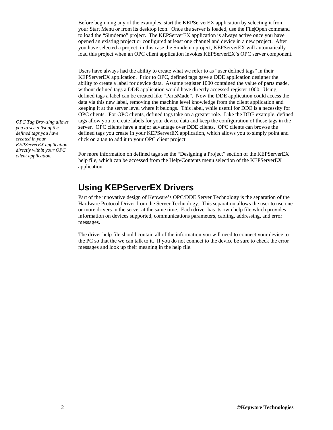<span id="page-5-0"></span>Before beginning any of the examples, start the KEPServerEX application by selecting it from your Start Menu or from its desktop icon. Once the server is loaded, use the File|Open command to load the "Simdemo" project. The KEPServerEX application is always active once you have opened an existing project or configured at least one channel and device in a new project. After you have selected a project, in this case the Simdemo project, KEPServerEX will automatically load this project when an OPC client application invokes KEPServerEX's OPC server component.

Users have always had the ability to create what we refer to as "user defined tags" in their KEPServerEX application. Prior to OPC, defined tags gave a DDE application designer the ability to create a label for device data. Assume register 1000 contained the value of parts made, without defined tags a DDE application would have directly accessed register 1000. Using defined tags a label can be created like "PartsMade". Now the DDE application could access the data via this new label, removing the machine level knowledge from the client application and keeping it at the server level where it belongs. This label, while useful for DDE is a necessity for OPC clients. For OPC clients, defined tags take on a greater role. Like the DDE example, defined tags allow you to create labels for your device data and keep the configuration of those tags in the server. OPC clients have a major advantage over DDE clients. OPC clients can browse the defined tags you create in your KEPServerEX application, which allows you to simply point and click on a tag to add it to your OPC client project.

*client application.* For more information on defined tags see the "Designing a Project" section of the KEPServerEX help file, which can be accessed from the Help/Contents menu selection of the KEPServerEX application.

### **Using KEPServerEX Drivers**

Part of the innovative design of Kepware's OPC/DDE Server Technology is the separation of the Hardware Protocol Driver from the Server Technology. This separation allows the user to use one or more drivers in the server at the same time. Each driver has its own help file which provides information on devices supported, communications parameters, cabling, addressing, and error messages.

The driver help file should contain all of the information you will need to connect your device to the PC so that the we can talk to it. If you do not connect to the device be sure to check the error messages and look up their meaning in the help file.

*OPC Tag Browsing allows you to see a list of the defined tags you have created in your KEPServerEX application, directly within your OPC*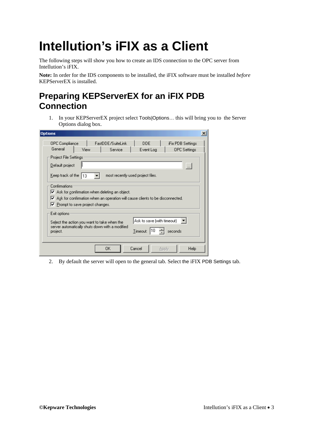## <span id="page-6-0"></span>**Intellution's iFIX as a Client**

The following steps will show you how to create an IDS connection to the OPC server from Intellution's iFIX.

**Note:** In order for the IDS components to be installed, the iFIX software must be installed *before* KEPServerEX is installed.

## **Preparing KEPServerEX for an iFIX PDB Connection**

1. In your KEPServerEX project select Tools|Options… this will bring you to the Server Options dialog box.

| <b>Options</b>                                                                                                                                                                            |  |
|-------------------------------------------------------------------------------------------------------------------------------------------------------------------------------------------|--|
| OPC Compliance<br>FastDDE/SuiteLink<br><b>DDE</b><br>iFix PDB Settings<br>General<br>View<br>Service<br>Event Log<br><b>OPC</b> Settings                                                  |  |
| Project File Settings<br>Default project<br>$\ldots$<br>Keep track of the $ 13$<br>most recently used project files.                                                                      |  |
| Confirmations<br>Ask for confirmation when deleting an object.<br>Ask for confirmation when an operation will cause clients to be disconnected.<br>M<br>Ⅳ Prompt to save project changes. |  |
| Exit options:<br>Ask to save (with timeout)<br>Select the action you want to take when the<br>server automatically shuts down with a modified<br>Timeout:<br>seconds<br>project.          |  |
| Cancel<br>OΚ<br>Help<br>Apply                                                                                                                                                             |  |

2. By default the server will open to the general tab. Select the iFIX PDB Settings tab.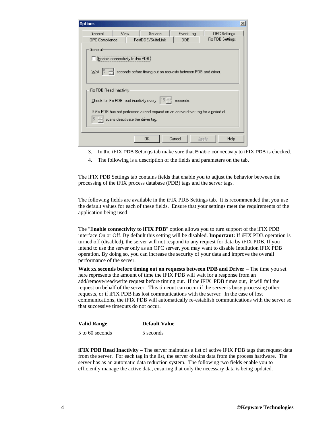| <b>Options</b>            |                                                                              |                                                                                               |                   |                                          | $\times$ |
|---------------------------|------------------------------------------------------------------------------|-----------------------------------------------------------------------------------------------|-------------------|------------------------------------------|----------|
| General<br>OPC Compliance | View                                                                         | Service<br>FastDDE/SuiteLink                                                                  | Event Log<br>DDE. | <b>OPC</b> Settings<br>iFix PDB Settings |          |
| General:<br>Wait          | Enable connectivity to iFix PDB.                                             | seconds before timing out on requests between PDB and driver.                                 |                   |                                          |          |
| iFix PDB Read Inactivity: | Check for iFix PDB read inactivity every<br>scans deactivate the driver tag. | [15 숙<br>If iFix PDB has not performed a read request on an active driver tag for a period of | seconds.          |                                          |          |
|                           |                                                                              | 0K                                                                                            | Cancel<br>Apply   | Help                                     |          |

- 3. In the iFIX PDB Settings tab make sure that Enable connectivity to iFIX PDB is checked.
- 4. The following is a description of the fields and parameters on the tab.

The iFIX PDB Settings tab contains fields that enable you to adjust the behavior between the processing of the iFIX process database (PDB) tags and the server tags.

The following fields are available in the iFIX PDB Settings tab. It is recommended that you use the default values for each of these fields. Ensure that your settings meet the requirements of the application being used:

The "E**nable connectivity to iFIX PDB**" option allows you to turn support of the iFIX PDB interface On or Off. By default this setting will be disabled. **Important:** If iFIX PDB operation is turned off (disabled), the server will not respond to any request for data by iFIX PDB. If you intend to use the server only as an OPC server, you may want to disable Intellution iFIX PDB operation. By doing so, you can increase the security of your data and improve the overall performance of the server.

**Wait xx seconds before timing out on requests between PDB and Driver** – The time you set here represents the amount of time the iFIX PDB will wait for a response from an add/remove/read/write request before timing out. If the iFIX PDB times out, it will fail the request on behalf of the server. This timeout can occur if the server is busy processing other requests, or if iFIX PDB has lost communications with the server. In the case of lost communications, the iFIX PDB will automatically re-establish communications with the server so that successive timeouts do not occur.

| <b>Valid Range</b> | <b>Default Value</b> |
|--------------------|----------------------|
| 5 to 60 seconds    | 5 seconds            |

**iFIX PDB Read Inactivity** – The server maintains a list of active iFIX PDB tags that request data from the server. For each tag in the list, the server obtains data from the process hardware. The server has as an automatic data reduction system. The following two fields enable you to efficiently manage the active data, ensuring that only the necessary data is being updated.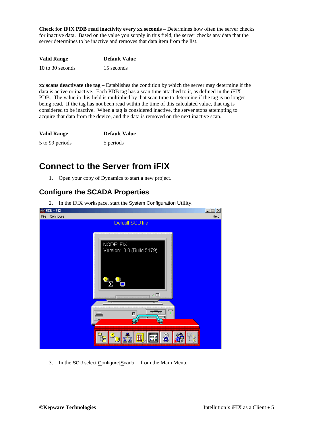<span id="page-8-0"></span>**Check for iFIX PDB read inactivity every xx seconds** – Determines how often the server checks for inactive data. Based on the value you supply in this field, the server checks any data that the server determines to be inactive and removes that data item from the list.

| <b>Valid Range</b> | <b>Default Value</b> |
|--------------------|----------------------|
| 10 to 30 seconds   | 15 seconds           |

**xx scans deactivate the tag** – Establishes the condition by which the server may determine if the data is active or inactive. Each PDB tag has a scan time attached to it, as defined in the iFIX PDB. The value in this field is multiplied by that scan time to determine if the tag is no longer being read. If the tag has not been read within the time of this calculated value, that tag is considered to be inactive. When a tag is considered inactive, the server stops attempting to acquire that data from the device, and the data is removed on the next inactive scan.

| <b>Valid Range</b> | <b>Default Value</b> |
|--------------------|----------------------|
| 5 to 99 periods    | 5 periods            |

## **Connect to the Server from iFIX**

1. Open your copy of Dynamics to start a new project.

### **Configure the SCADA Properties**

2. In the iFIX workspace, start the System Configuration Utility.



3. In the SCU select Configure Scada... from the Main Menu.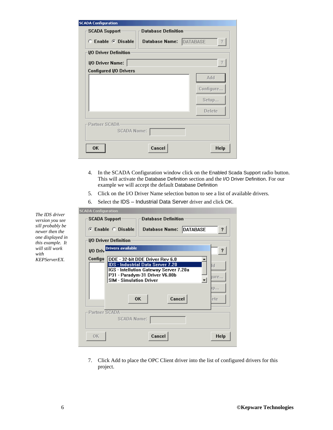| <b>5CADA Configuration</b><br><b>SCADA Support-</b> | <b>Database Definition</b> |               |
|-----------------------------------------------------|----------------------------|---------------|
| $\heartsuit$ Enable $\heartsuit$ Disable            | Database Name: DATABASE    | ?             |
| <b>I/O Driver Definition</b>                        |                            |               |
| 1/0 Driver Name:                                    |                            | ?             |
| Configured I/O Drivers                              |                            |               |
|                                                     |                            | Add           |
|                                                     |                            | Configure     |
|                                                     |                            | Setup         |
|                                                     |                            | <b>Delete</b> |
| Partner SCADA-                                      |                            |               |
| SCADA Name:                                         |                            |               |
| 0K                                                  | Cancel                     | Help          |

- 4. In the SCADA Configuration window click on the Enabled Scada Support radio button. This will activate the Database Definition section and the I/O Driver Definition. For our example we will accept the default Database Definition
- 5. Click on the I/O Driver Name selection button to see a list of available drivers.
- 6. Select the IDS Industrial Data Server driver and click OK.

| <b>SCADA Configuration</b>                                                                                                                                                                                                  |                            |
|-----------------------------------------------------------------------------------------------------------------------------------------------------------------------------------------------------------------------------|----------------------------|
| <b>Database Definition</b><br>SCADA Support                                                                                                                                                                                 |                            |
| Database Name: DATABASE<br>$\odot$ Enable $\odot$ Disable                                                                                                                                                                   | ş.                         |
| <b>I/O Driver Definition</b>                                                                                                                                                                                                |                            |
| <b>Drivers available</b><br>I/O Driv                                                                                                                                                                                        | ?                          |
| Configu<br>DDE - 32-bit DDE Driver Rev 6.0<br><b>IDS</b> - Industrial Data Server 7.20<br>IGS - Intellution Gateway Server 7.20a<br>P31 - Paradym-31 Driver V6.00b<br><b>SIM - Simulation Driver</b><br>Cancel<br><b>OK</b> | li d<br>qure.<br>μр<br>ete |
| Partner SCADA<br>SCADA Name:                                                                                                                                                                                                |                            |
| Cancel<br>0K                                                                                                                                                                                                                | Help                       |

7. Click Add to place the OPC Client driver into the list of configured drivers for this project.

*The IDS driver version you see sill probably be newer then the one displayed in this example. It will still work with KEPServerEX.*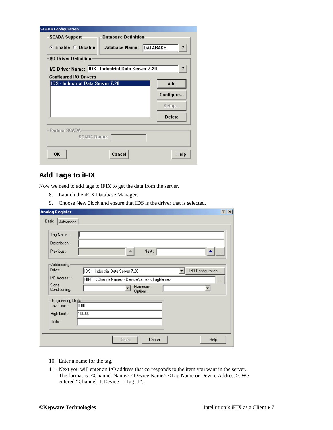<span id="page-10-0"></span>

| <b>SCADA Configuration</b>                         |               |
|----------------------------------------------------|---------------|
| <b>Database Definition</b><br><b>SCADA Support</b> |               |
| Database Name: DATABASE<br>C Enable C Disable      | ?             |
| <b>VO Driver Definition</b>                        |               |
| I/O Driver Name: IDS - Industrial Data Server 7.20 | ?             |
| Configured I/O Drivers                             |               |
| <b>IDS</b> - Industrial Data Server 7.20           | Add           |
|                                                    | Configure     |
|                                                    | Setup         |
|                                                    | <b>Delete</b> |
| Partner SCADA<br>SCADA Name:                       |               |
| Cancel<br>0K                                       | Help          |

### **Add Tags to iFIX**

Now we need to add tags to iFIX to get the data from the server.

- 8. Launch the iFIX Database Manager.
- 9. Choose New Block and ensure that IDS is the driver that is selected.

| Tag Name:                 |                                                                                      |
|---------------------------|--------------------------------------------------------------------------------------|
| Description:              |                                                                                      |
| Previous:                 | Next:                                                                                |
| Addressing                |                                                                                      |
| Driver:                   | 1/0 Configuration<br>IDS.<br>Industrial Data Server 7.20                             |
| 1/0 Address :             | HINT: <channelname>.<devicename>.<tagname><br/></tagname></devicename></channelname> |
| Signal<br>Conditioning:   | Hardware<br>Options:                                                                 |
| <b>Engineering Units:</b> |                                                                                      |
| Low Limit:                | 0.00                                                                                 |
| High Limit:               | 100.00                                                                               |
| Units:                    |                                                                                      |

- 10. Enter a name for the tag.
- 11. Next you will enter an I/O address that corresponds to the item you want in the server. The format is <Channel Name>.<Device Name>.<Tag Name or Device Address>. We entered "Channel\_1.Device\_1.Tag\_1".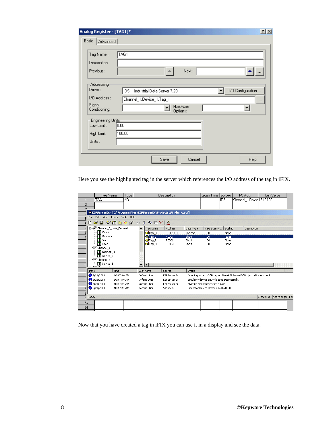| Analog Register - [TAG1]*                                         | $2 \times$                                                                                                               |
|-------------------------------------------------------------------|--------------------------------------------------------------------------------------------------------------------------|
| Basic<br>Advanced                                                 |                                                                                                                          |
| Tag Name:<br>Description:<br>Previous:                            | TAG1<br>Next:                                                                                                            |
| Addressing<br>Driver:<br>1/0 Address :<br>Signal<br>Conditioning: | 1/0 Configuration<br>IDS.<br>Industrial Data Server 7.20<br>Channel_1.Device_1.Tag_1<br>$\cdots$<br>Hardware<br>Options: |
| Engineering Units:<br>Low Limit:<br>High Limit:                   | 0.00<br>100.00                                                                                                           |
| Units:                                                            |                                                                                                                          |
|                                                                   | Save<br>Cancel<br>Help                                                                                                   |

Here you see the highlighted tag in the server which references the I/O address of the tag in iFIX.

|                                                                                   | Tag Name                   | Type |                          |                                                | Description                                                         |           | Scan Time   I/O Dev                                               |         | I/O Addr                 | Curr Value                   |
|-----------------------------------------------------------------------------------|----------------------------|------|--------------------------|------------------------------------------------|---------------------------------------------------------------------|-----------|-------------------------------------------------------------------|---------|--------------------------|------------------------------|
| TAG1                                                                              |                            | IAR. |                          |                                                |                                                                     |           |                                                                   | IDS.    | Channel_1.Devid17,190.00 |                              |
| $\overline{c}$                                                                    |                            |      |                          |                                                |                                                                     |           |                                                                   |         |                          |                              |
| o.                                                                                |                            |      |                          |                                                |                                                                     |           |                                                                   |         |                          |                              |
|                                                                                   |                            |      |                          |                                                | E KEPServerEx - [C:\Program Files\KEPServerEx\Projects\Simdemo.opf] |           |                                                                   |         |                          |                              |
| File                                                                              | Edit View Users Tools Help |      |                          |                                                |                                                                     |           |                                                                   |         |                          |                              |
| 口さ日 夕面ももき 10                                                                      |                            |      |                          | $\lambda$ to $\blacksquare$ $\times$ $\lambda$ |                                                                     |           |                                                                   |         |                          |                              |
| $\Box$                                                                            | Channel_0_User_Defined     |      |                          | Tag Name                                       | Address                                                             | Data Type | DDE Scan R                                                        | Scaling | Description              |                              |
| <b>III</b> Ramp                                                                   |                            |      |                          | $\mathcal{O}_{\mathsf{Bool\_1}}$               | R0004.00                                                            | Boolean   | 100                                                               | None    |                          |                              |
| <b>IIII</b> Random                                                                |                            |      |                          | <b>M</b> Tag 1                                 | R0001                                                               | Short     | 100                                                               | None    |                          |                              |
| <b>III</b> Sine                                                                   |                            |      |                          | $\mathcal{I}$ Tag 2                            | R0002                                                               | Short     | 100                                                               | None    |                          |                              |
| ∰ User<br>$\Box$ $\mathscr{D}$ Channel 1                                          |                            |      |                          | <b>Ø</b> Tag_3                                 | R0003                                                               | Short     | 100                                                               | None    |                          |                              |
| III Device_1<br><b>III</b> Device_2<br>$\Box$ $\mathscr{D}$ Channel 2<br>Device_3 |                            |      | $\overline{\phantom{a}}$ | $\left  \cdot \right $                         |                                                                     |           |                                                                   |         |                          |                              |
| Date                                                                              | Time                       |      |                          | User Name                                      | Source                                                              | Event     |                                                                   |         |                          |                              |
| 65/21/2003                                                                        | 10:47:44 AM                |      |                          | Default User                                   | KEPServerEx                                                         |           | Opening project C:\Program Files\KEPServerEx\Projects\Simdemo.opf |         |                          |                              |
| $\bullet$ 5/21/2003                                                               | 10:47:44 AM                |      |                          | Default User                                   | KEPServerEx                                                         |           | Simulator device driver loaded successfully.                      |         |                          |                              |
| 65/21/2003                                                                        | 10:47:44 AM                |      |                          | Default User                                   | KEPServerEx                                                         |           | Starting Simulator device driver.                                 |         |                          |                              |
| 65/21/2003                                                                        | 10:47:44 AM                |      |                          | Default User                                   | Simulator                                                           |           | Simulator Device Driver V4.20.78 - LL                             |         |                          |                              |
| 2<br>$\overline{c}$                                                               |                            |      |                          |                                                |                                                                     |           |                                                                   |         |                          |                              |
| $2$ Ready                                                                         |                            |      |                          |                                                |                                                                     |           |                                                                   |         |                          | Clients: 3 Active tags: 1 of |
| 23                                                                                |                            |      |                          |                                                |                                                                     |           |                                                                   |         |                          |                              |
| 24                                                                                |                            |      |                          |                                                |                                                                     |           |                                                                   |         |                          |                              |
|                                                                                   |                            |      |                          |                                                |                                                                     |           |                                                                   |         |                          |                              |

Now that you have created a tag in iFIX you can use it in a display and see the data.